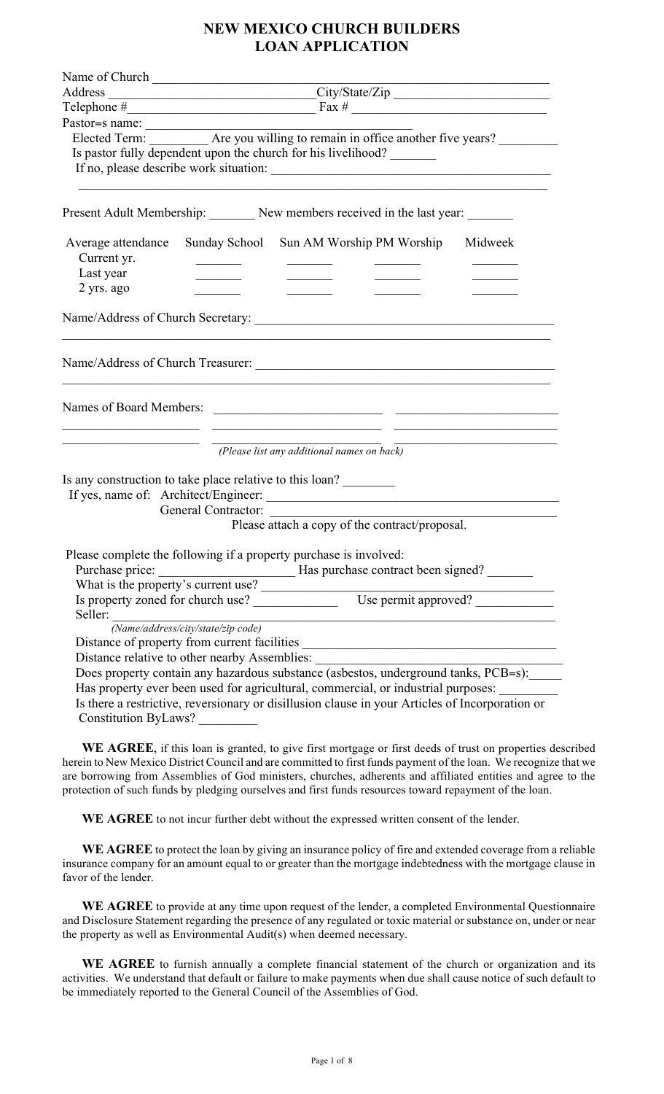# **NEW MEXICO CHURCH BUILDERS LOAN APPLICATION**

|                                   | Name of Church                                                                                                                                                                                              |
|-----------------------------------|-------------------------------------------------------------------------------------------------------------------------------------------------------------------------------------------------------------|
|                                   |                                                                                                                                                                                                             |
|                                   | Telephone $\#$ Fax $\#$ Fax $\#$ $\#$                                                                                                                                                                       |
|                                   |                                                                                                                                                                                                             |
|                                   |                                                                                                                                                                                                             |
|                                   | Is pastor fully dependent upon the church for his livelihood?                                                                                                                                               |
|                                   |                                                                                                                                                                                                             |
|                                   | Present Adult Membership: New members received in the last year: ________                                                                                                                                   |
| Average attendance<br>Current yr. | Sunday School Sun AM Worship PM Worship<br>Midweek                                                                                                                                                          |
| Last year                         |                                                                                                                                                                                                             |
| 2 yrs. ago                        |                                                                                                                                                                                                             |
|                                   |                                                                                                                                                                                                             |
|                                   |                                                                                                                                                                                                             |
|                                   |                                                                                                                                                                                                             |
|                                   |                                                                                                                                                                                                             |
|                                   | (Please list any additional names on back)                                                                                                                                                                  |
|                                   | Is any construction to take place relative to this loan?                                                                                                                                                    |
|                                   |                                                                                                                                                                                                             |
|                                   | General Contractor:                                                                                                                                                                                         |
|                                   | Please attach a copy of the contract/proposal.                                                                                                                                                              |
| Purchase price:                   | Please complete the following if a property purchase is involved:<br>Has purchase contract been signed?<br>What is the property's current use?<br>Is property zoned for church use?<br>Use permit approved? |
|                                   |                                                                                                                                                                                                             |
|                                   | Seller:<br>Name/address/city/state/zip code)                                                                                                                                                                |
|                                   | Distance of property from current facilities ___________________________________                                                                                                                            |
|                                   | Distance relative to other nearby Assemblies: __________________________________                                                                                                                            |
|                                   | Does property contain any hazardous substance (asbestos, underground tanks, PCB=s):<br>Has property ever been used for agricultural, commercial, or industrial purposes: _________                          |
| Constitution ByLaws?              | Is there a restrictive, reversionary or disillusion clause in your Articles of Incorporation or                                                                                                             |

 **WE AGREE**, if this loan is granted, to give first mortgage or first deeds of trust on properties described herein to New Mexico District Council and are committed to first funds payment of the loan. We recognize that we are borrowing from Assemblies of God ministers, churches, adherents and affiliated entities and agree to the protection of such funds by pledging ourselves and first funds resources toward repayment of the loan.

 **WE AGREE** to not incur further debt without the expressed written consent of the lender.

 **WE AGREE** to protect the loan by giving an insurance policy of fire and extended coverage from a reliable insurance company for an amount equal to or greater than the mortgage indebtedness with the mortgage clause in favor of the lender.

 **WE AGREE** to provide at any time upon request of the lender, a completed Environmental Questionnaire and Disclosure Statement regarding the presence of any regulated or toxic material or substance on, under or near the property as well as Environmental Audit(s) when deemed necessary.

 **WE AGREE** to furnish annually a complete financial statement of the church or organization and its activities. We understand that default or failure to make payments when due shall cause notice of such default to be immediately reported to the General Council of the Assemblies of God.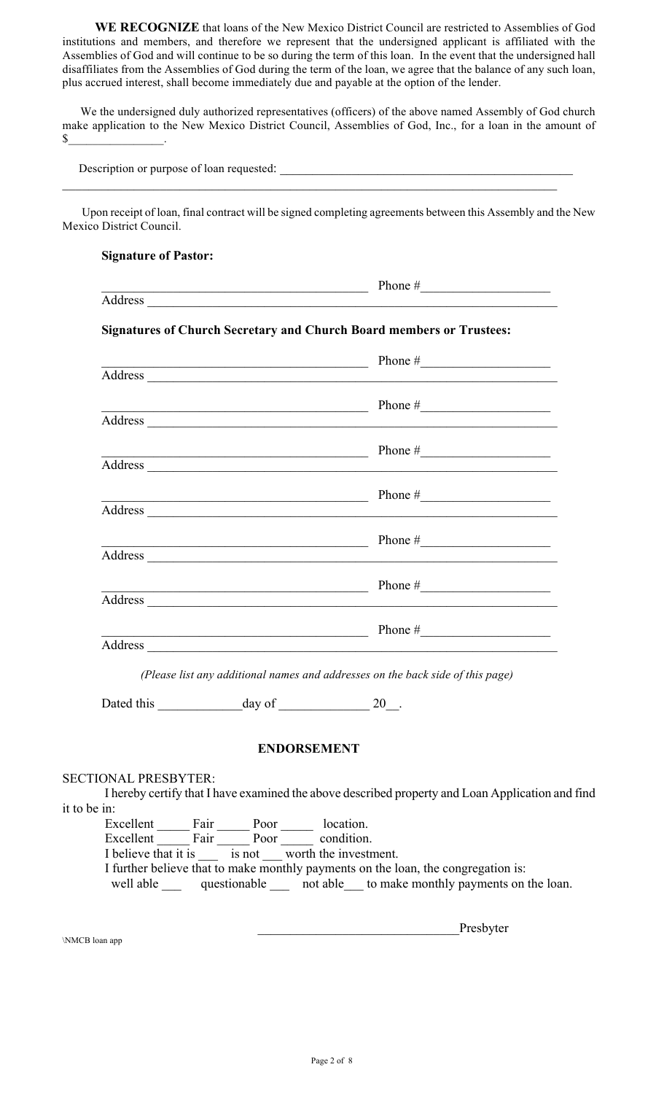**WE RECOGNIZE** that loans of the New Mexico District Council are restricted to Assemblies of God institutions and members, and therefore we represent that the undersigned applicant is affiliated with the Assemblies of God and will continue to be so during the term of this loan. In the event that the undersigned hall disaffiliates from the Assemblies of God during the term of the loan, we agree that the balance of any such loan, plus accrued interest, shall become immediately due and payable at the option of the lender.

 We the undersigned duly authorized representatives (officers) of the above named Assembly of God church make application to the New Mexico District Council, Assemblies of God, Inc., for a loan in the amount of  $\mathbb S$  .

Description or purpose of loan requested: \_\_\_\_\_\_\_\_\_\_\_\_\_\_\_\_\_\_\_\_\_\_\_\_\_\_\_\_\_\_\_\_\_\_\_\_\_\_\_\_\_\_\_\_\_

 Upon receipt of loan, final contract will be signed completing agreements between this Assembly and the New Mexico District Council.

 $\mathcal{L}_\mathcal{L} = \{ \mathcal{L}_\mathcal{L} = \{ \mathcal{L}_\mathcal{L} = \{ \mathcal{L}_\mathcal{L} = \{ \mathcal{L}_\mathcal{L} = \{ \mathcal{L}_\mathcal{L} = \{ \mathcal{L}_\mathcal{L} = \{ \mathcal{L}_\mathcal{L} = \{ \mathcal{L}_\mathcal{L} = \{ \mathcal{L}_\mathcal{L} = \{ \mathcal{L}_\mathcal{L} = \{ \mathcal{L}_\mathcal{L} = \{ \mathcal{L}_\mathcal{L} = \{ \mathcal{L}_\mathcal{L} = \{ \mathcal{L}_\mathcal{$ 

|                             |                    | <b>Signatures of Church Secretary and Church Board members or Trustees:</b>                                                                                                                                                    |
|-----------------------------|--------------------|--------------------------------------------------------------------------------------------------------------------------------------------------------------------------------------------------------------------------------|
|                             |                    | $\frac{1}{2}$ Phone $\frac{1}{2}$                                                                                                                                                                                              |
|                             |                    |                                                                                                                                                                                                                                |
|                             |                    | $\frac{1}{2}$ Phone $\frac{1}{2}$                                                                                                                                                                                              |
|                             |                    |                                                                                                                                                                                                                                |
|                             |                    | Phone #                                                                                                                                                                                                                        |
|                             |                    |                                                                                                                                                                                                                                |
|                             |                    | Phone #                                                                                                                                                                                                                        |
|                             |                    |                                                                                                                                                                                                                                |
|                             |                    | Phone #                                                                                                                                                                                                                        |
|                             |                    | Address and the contract of the contract of the contract of the contract of the contract of the contract of the contract of the contract of the contract of the contract of the contract of the contract of the contract of th |
|                             |                    | Phone $#$                                                                                                                                                                                                                      |
|                             |                    |                                                                                                                                                                                                                                |
|                             |                    | Phone #                                                                                                                                                                                                                        |
|                             |                    |                                                                                                                                                                                                                                |
|                             |                    | (Please list any additional names and addresses on the back side of this page)                                                                                                                                                 |
|                             |                    |                                                                                                                                                                                                                                |
|                             | <b>ENDORSEMENT</b> |                                                                                                                                                                                                                                |
| <b>SECTIONAL PRESBYTER:</b> |                    |                                                                                                                                                                                                                                |
|                             |                    | I hereby certify that I have examined the above described property and Loan Application and find                                                                                                                               |

Excellent Fair Poor location. Excellent Fair Poor condition. I believe that it is \_\_\_ is not \_\_\_ worth the investment. I further believe that to make monthly payments on the loan, the congregation is: well able \_\_\_ questionable \_\_\_ not able \_\_\_ to make monthly payments on the loan.

\_\_\_\_\_\_\_\_\_\_\_\_\_\_\_\_\_\_\_\_\_\_\_\_\_\_\_\_\_\_\_Presbyter \NMCB loan app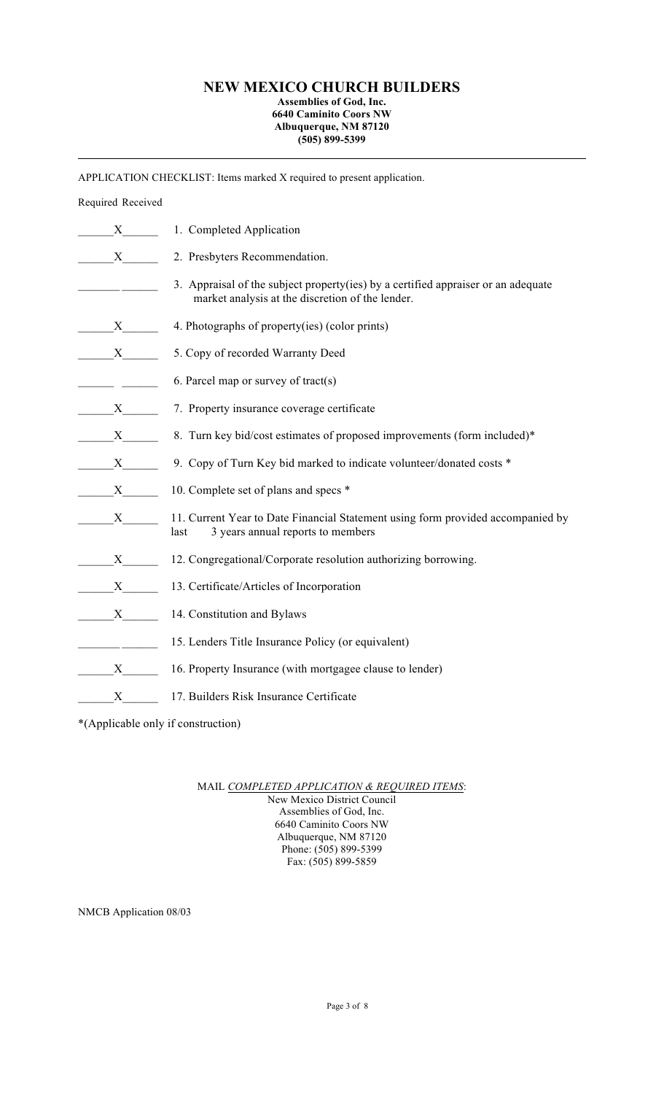## **NEW MEXICO CHURCH BUILDERS**

#### **Assemblies of God, Inc. 6640 Caminito Coors NW Albuquerque, NM 87120 (505) 899-5399**

APPLICATION CHECKLIST: Items marked X required to present application.

## Required Received

| $X \sim$     | 1. Completed Application                                                                                                              |
|--------------|---------------------------------------------------------------------------------------------------------------------------------------|
| X            | 2. Presbyters Recommendation.                                                                                                         |
|              | 3. Appraisal of the subject property(ies) by a certified appraiser or an adequate<br>market analysis at the discretion of the lender. |
| X            | 4. Photographs of property(ies) (color prints)                                                                                        |
| X            | 5. Copy of recorded Warranty Deed                                                                                                     |
|              | 6. Parcel map or survey of tract(s)                                                                                                   |
| X            | 7. Property insurance coverage certificate                                                                                            |
| X            | 8. Turn key bid/cost estimates of proposed improvements (form included)*                                                              |
| X            | 9. Copy of Turn Key bid marked to indicate volunteer/donated costs *                                                                  |
| X            | 10. Complete set of plans and specs *                                                                                                 |
| X            | 11. Current Year to Date Financial Statement using form provided accompanied by<br>3 years annual reports to members<br>last          |
| X            | 12. Congregational/Corporate resolution authorizing borrowing.                                                                        |
| X            | 13. Certificate/Articles of Incorporation                                                                                             |
| $\mathbf{X}$ | 14. Constitution and Bylaws                                                                                                           |
|              | 15. Lenders Title Insurance Policy (or equivalent)                                                                                    |
| X            | 16. Property Insurance (with mortgagee clause to lender)                                                                              |
| X            | 17. Builders Risk Insurance Certificate                                                                                               |

\*(Applicable only if construction)

MAIL *COMPLETED APPLICATION & REQUIRED ITEMS*:

New Mexico District Council Assemblies of God, Inc. 6640 Caminito Coors NW Albuquerque, NM 87120 Phone: (505) 899-5399 Fax: (505) 899-5859

NMCB Application 08/03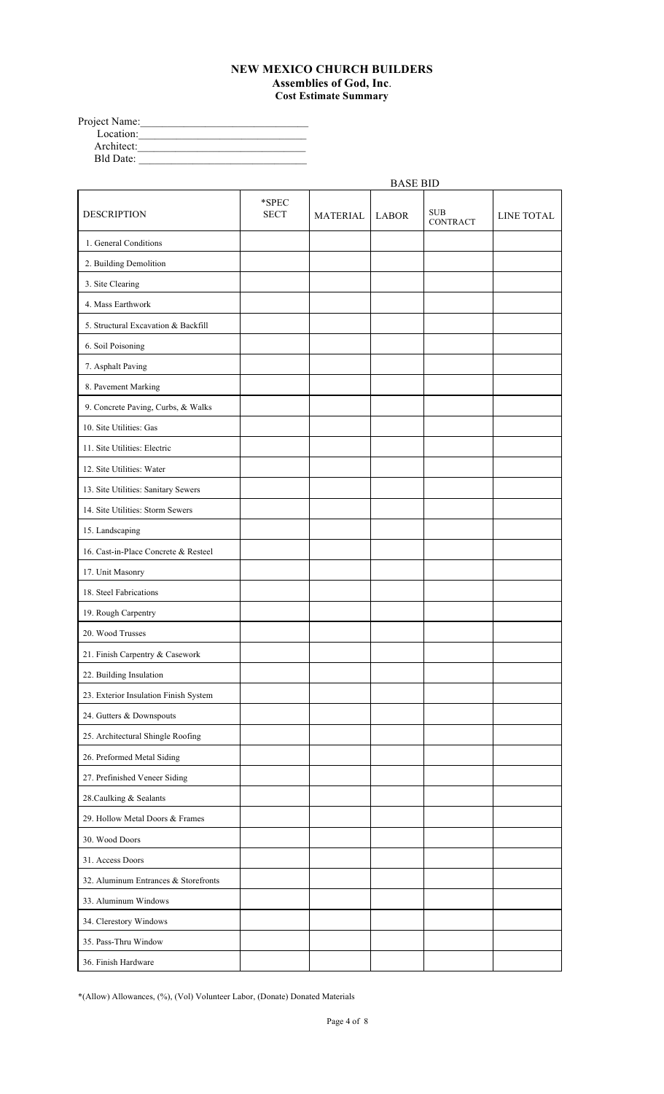### **NEW MEXICO CHURCH BUILDERS Assemblies of God, Inc**. **Cost Estimate Summary**

| Project Name:    |  |
|------------------|--|
| Location:        |  |
| Architect:       |  |
| <b>Bld Date:</b> |  |

|                                       |                      |                 | <b>BASE BID</b> |                               |                   |
|---------------------------------------|----------------------|-----------------|-----------------|-------------------------------|-------------------|
| <b>DESCRIPTION</b>                    | *SPEC<br><b>SECT</b> | <b>MATERIAL</b> | <b>LABOR</b>    | <b>SUB</b><br><b>CONTRACT</b> | <b>LINE TOTAL</b> |
| 1. General Conditions                 |                      |                 |                 |                               |                   |
| 2. Building Demolition                |                      |                 |                 |                               |                   |
| 3. Site Clearing                      |                      |                 |                 |                               |                   |
| 4. Mass Earthwork                     |                      |                 |                 |                               |                   |
| 5. Structural Excavation & Backfill   |                      |                 |                 |                               |                   |
| 6. Soil Poisoning                     |                      |                 |                 |                               |                   |
| 7. Asphalt Paving                     |                      |                 |                 |                               |                   |
| 8. Pavement Marking                   |                      |                 |                 |                               |                   |
| 9. Concrete Paving, Curbs, & Walks    |                      |                 |                 |                               |                   |
| 10. Site Utilities: Gas               |                      |                 |                 |                               |                   |
| 11. Site Utilities: Electric          |                      |                 |                 |                               |                   |
| 12. Site Utilities: Water             |                      |                 |                 |                               |                   |
| 13. Site Utilities: Sanitary Sewers   |                      |                 |                 |                               |                   |
| 14. Site Utilities: Storm Sewers      |                      |                 |                 |                               |                   |
| 15. Landscaping                       |                      |                 |                 |                               |                   |
| 16. Cast-in-Place Concrete & Resteel  |                      |                 |                 |                               |                   |
| 17. Unit Masonry                      |                      |                 |                 |                               |                   |
| 18. Steel Fabrications                |                      |                 |                 |                               |                   |
| 19. Rough Carpentry                   |                      |                 |                 |                               |                   |
| 20. Wood Trusses                      |                      |                 |                 |                               |                   |
| 21. Finish Carpentry & Casework       |                      |                 |                 |                               |                   |
| 22. Building Insulation               |                      |                 |                 |                               |                   |
| 23. Exterior Insulation Finish System |                      |                 |                 |                               |                   |
| 24. Gutters & Downspouts              |                      |                 |                 |                               |                   |
| 25. Architectural Shingle Roofing     |                      |                 |                 |                               |                   |
| 26. Preformed Metal Siding            |                      |                 |                 |                               |                   |
| 27. Prefinished Veneer Siding         |                      |                 |                 |                               |                   |
| 28. Caulking & Sealants               |                      |                 |                 |                               |                   |
| 29. Hollow Metal Doors & Frames       |                      |                 |                 |                               |                   |
| 30. Wood Doors                        |                      |                 |                 |                               |                   |
| 31. Access Doors                      |                      |                 |                 |                               |                   |
| 32. Aluminum Entrances & Storefronts  |                      |                 |                 |                               |                   |
| 33. Aluminum Windows                  |                      |                 |                 |                               |                   |
| 34. Clerestory Windows                |                      |                 |                 |                               |                   |
| 35. Pass-Thru Window                  |                      |                 |                 |                               |                   |
| 36. Finish Hardware                   |                      |                 |                 |                               |                   |

\*(Allow) Allowances, (%), (Vol) Volunteer Labor, (Donate) Donated Materials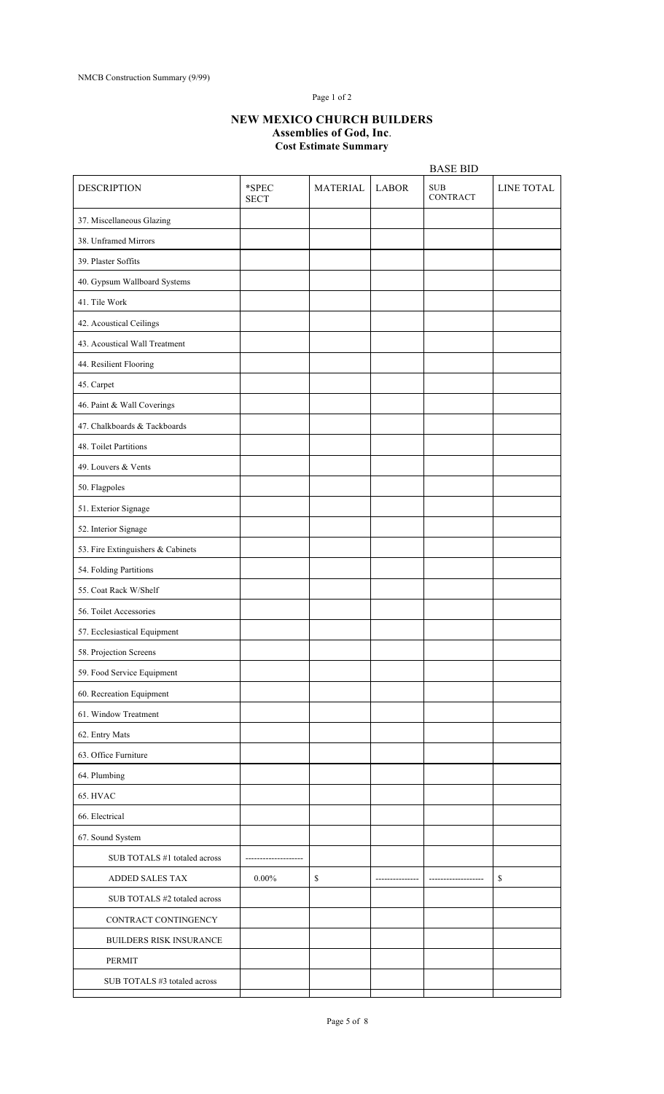### Page 1 of 2

#### **NEW MEXICO CHURCH BUILDERS Assemblies of God, Inc**. **Cost Estimate Summary**

|                                   |                      |                 |              | <b>BASE BID</b>               |            |
|-----------------------------------|----------------------|-----------------|--------------|-------------------------------|------------|
| <b>DESCRIPTION</b>                | *SPEC<br><b>SECT</b> | <b>MATERIAL</b> | <b>LABOR</b> | <b>SUB</b><br><b>CONTRACT</b> | LINE TOTAL |
| 37. Miscellaneous Glazing         |                      |                 |              |                               |            |
| 38. Unframed Mirrors              |                      |                 |              |                               |            |
| 39. Plaster Soffits               |                      |                 |              |                               |            |
| 40. Gypsum Wallboard Systems      |                      |                 |              |                               |            |
| 41. Tile Work                     |                      |                 |              |                               |            |
| 42. Acoustical Ceilings           |                      |                 |              |                               |            |
| 43. Acoustical Wall Treatment     |                      |                 |              |                               |            |
| 44. Resilient Flooring            |                      |                 |              |                               |            |
| 45. Carpet                        |                      |                 |              |                               |            |
| 46. Paint & Wall Coverings        |                      |                 |              |                               |            |
| 47. Chalkboards & Tackboards      |                      |                 |              |                               |            |
| 48. Toilet Partitions             |                      |                 |              |                               |            |
| 49. Louvers & Vents               |                      |                 |              |                               |            |
| 50. Flagpoles                     |                      |                 |              |                               |            |
| 51. Exterior Signage              |                      |                 |              |                               |            |
| 52. Interior Signage              |                      |                 |              |                               |            |
| 53. Fire Extinguishers & Cabinets |                      |                 |              |                               |            |
| 54. Folding Partitions            |                      |                 |              |                               |            |
| 55. Coat Rack W/Shelf             |                      |                 |              |                               |            |
| 56. Toilet Accessories            |                      |                 |              |                               |            |
| 57. Ecclesiastical Equipment      |                      |                 |              |                               |            |
| 58. Projection Screens            |                      |                 |              |                               |            |
| 59. Food Service Equipment        |                      |                 |              |                               |            |
| 60. Recreation Equipment          |                      |                 |              |                               |            |
| 61. Window Treatment              |                      |                 |              |                               |            |
| 62. Entry Mats                    |                      |                 |              |                               |            |
| 63. Office Furniture              |                      |                 |              |                               |            |
| 64. Plumbing                      |                      |                 |              |                               |            |
| 65. HVAC                          |                      |                 |              |                               |            |
| 66. Electrical                    |                      |                 |              |                               |            |
| 67. Sound System                  |                      |                 |              |                               |            |
| SUB TOTALS #1 totaled across      |                      |                 |              |                               |            |
| ADDED SALES TAX                   | $0.00\%$             | $\mathbb{S}$    |              |                               | \$         |
| SUB TOTALS #2 totaled across      |                      |                 |              |                               |            |
| CONTRACT CONTINGENCY              |                      |                 |              |                               |            |
| <b>BUILDERS RISK INSURANCE</b>    |                      |                 |              |                               |            |
| <b>PERMIT</b>                     |                      |                 |              |                               |            |
| SUB TOTALS #3 totaled across      |                      |                 |              |                               |            |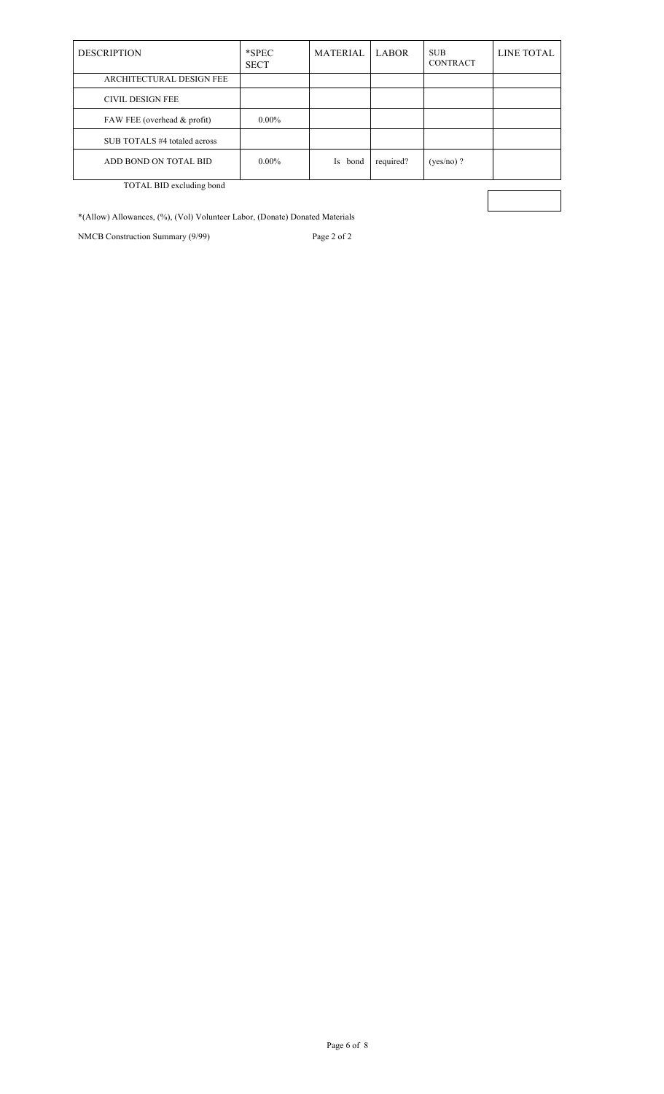| <b>DESCRIPTION</b>            | $*$ SPEC<br><b>SECT</b> | <b>MATERIAL</b> | <b>LABOR</b> | <b>SUB</b><br><b>CONTRACT</b> | LINE TOTAL |
|-------------------------------|-------------------------|-----------------|--------------|-------------------------------|------------|
| ARCHITECTURAL DESIGN FEE      |                         |                 |              |                               |            |
| <b>CIVIL DESIGN FEE</b>       |                         |                 |              |                               |            |
| FAW FEE (overhead $&$ profit) | $0.00\%$                |                 |              |                               |            |
| SUB TOTALS #4 totaled across  |                         |                 |              |                               |            |
| ADD BOND ON TOTAL BID         | $0.00\%$                | Is<br>bond      | required?    | $(yes/no)$ ?                  |            |
| TOTAL BID excluding bond      |                         |                 |              |                               |            |
|                               |                         |                 |              |                               |            |

\*(Allow) Allowances, (%), (Vol) Volunteer Labor, (Donate) Donated Materials

NMCB Construction Summary (9/99) Page 2 of 2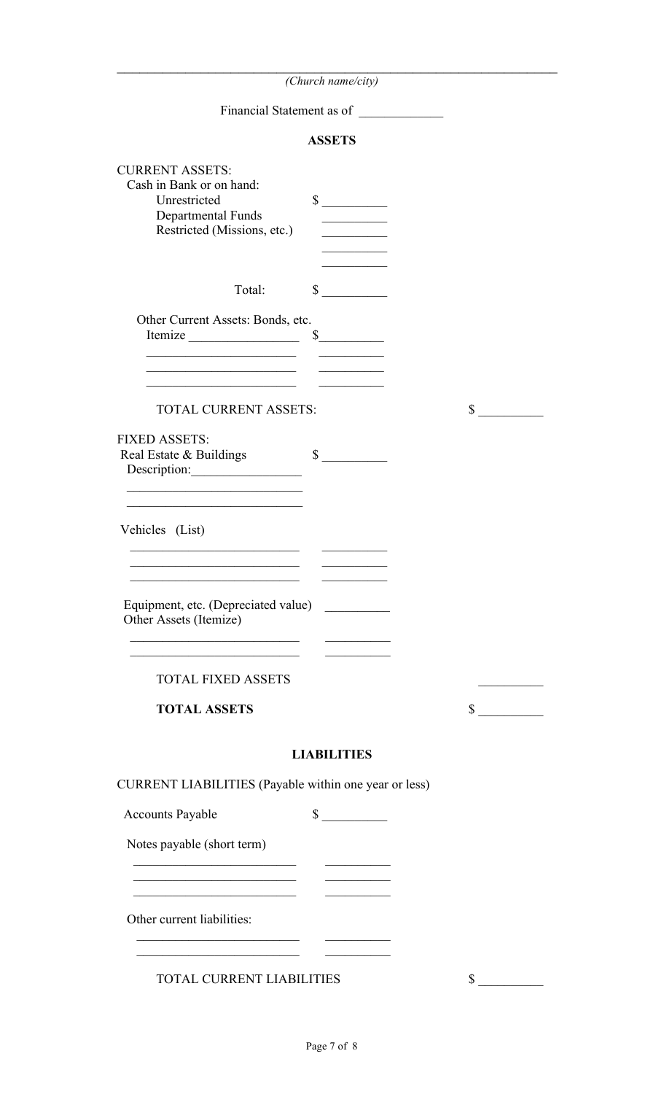| (Church name/city)                                                                                                                                                                                                                                                         |              |
|----------------------------------------------------------------------------------------------------------------------------------------------------------------------------------------------------------------------------------------------------------------------------|--------------|
| Financial Statement as of                                                                                                                                                                                                                                                  |              |
| <b>ASSETS</b>                                                                                                                                                                                                                                                              |              |
| <b>CURRENT ASSETS:</b><br>Cash in Bank or on hand:<br>Unrestricted<br>$\sim$<br>Departmental Funds<br>Restricted (Missions, etc.)                                                                                                                                          |              |
| Total:<br>$\int$                                                                                                                                                                                                                                                           |              |
| Other Current Assets: Bonds, etc.<br>Itemize<br>$\frac{\sqrt{2}}{2}$<br><u> 1989 - Johann John Stone, market fan it ferstjer fan it ferstjer fan it ferstjer fan it ferstjer fan it fers</u><br>the control of the control of the control of the control of the control of |              |
| TOTAL CURRENT ASSETS:                                                                                                                                                                                                                                                      | \$           |
| <b>FIXED ASSETS:</b><br>$\sim$<br>Real Estate & Buildings<br>Description:<br><u> 1989 - Johann John Stein, market fan it ferskearre fan it ferskearre fan it ferskearre fan it ferskearre fan i</u>                                                                        |              |
| the control of the control of the control of the control of the control of the control of<br>Vehicles (List)<br><u> 1980 - Johann Barbara, martxa alemani</u>                                                                                                              |              |
| Equipment, etc. (Depreciated value)<br>Other Assets (Itemize)<br><u> 1989 - Jan James James James James James James James James James James James James James James James James J</u>                                                                                      |              |
| the control of the control of the control of the control of the control of<br><b>TOTAL FIXED ASSETS</b>                                                                                                                                                                    |              |
| <b>TOTAL ASSETS</b>                                                                                                                                                                                                                                                        | $\mathbb{S}$ |
| <b>LIABILITIES</b>                                                                                                                                                                                                                                                         |              |
| CURRENT LIABILITIES (Payable within one year or less)                                                                                                                                                                                                                      |              |
| $\sim$<br><b>Accounts Payable</b>                                                                                                                                                                                                                                          |              |
| Notes payable (short term)                                                                                                                                                                                                                                                 |              |
| <u> 1989 - Johann John Stone, mars eta biztanleria (h. 1989).</u><br><u> 1989 - Johann John Stein, mars an deus Amerikaansk kommunister (</u>                                                                                                                              |              |
| Other current liabilities:<br>the control of the control of the                                                                                                                                                                                                            |              |
| <u> 1989 - Andrea State Barbara, amerikan per</u>                                                                                                                                                                                                                          |              |